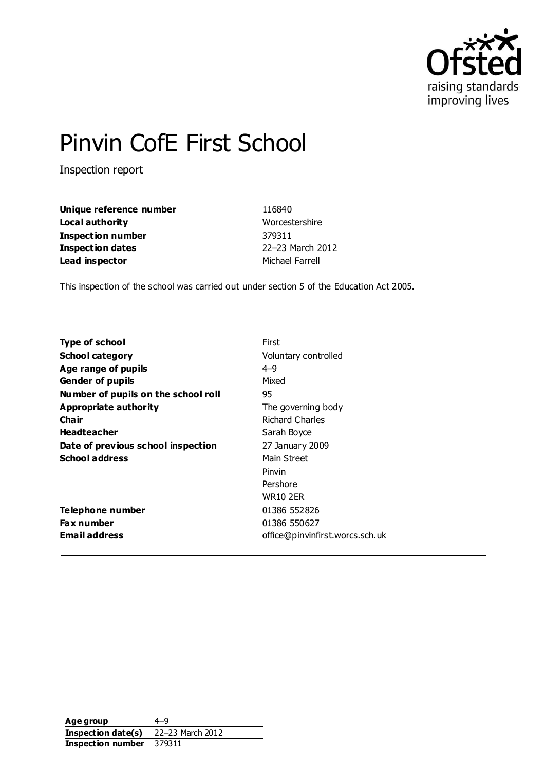

# Pinvin CofE First School

Inspection report

| Unique reference number | 116840           |
|-------------------------|------------------|
| Local authority         | Worcestershire   |
| Inspection number       | 379311           |
| <b>Inspection dates</b> | 22-23 March 2012 |
| Lead inspector          | Michael Farrell  |

This inspection of the school was carried out under section 5 of the Education Act 2005.

| <b>Type of school</b>               | First                           |
|-------------------------------------|---------------------------------|
| <b>School category</b>              | Voluntary controlled            |
| Age range of pupils                 | $4 - 9$                         |
| <b>Gender of pupils</b>             | Mixed                           |
| Number of pupils on the school roll | 95                              |
| Appropriate authority               | The governing body              |
| Cha ir                              | <b>Richard Charles</b>          |
| <b>Headteacher</b>                  | Sarah Boyce                     |
| Date of previous school inspection  | 27 January 2009                 |
| <b>School address</b>               | Main Street                     |
|                                     | Pinvin                          |
|                                     | Pershore                        |
|                                     | WR10 2ER                        |
| Telephone number                    | 01386 552826                    |
| <b>Fax number</b>                   | 01386 550627                    |
| <b>Email address</b>                | office@pinvinfirst.worcs.sch.uk |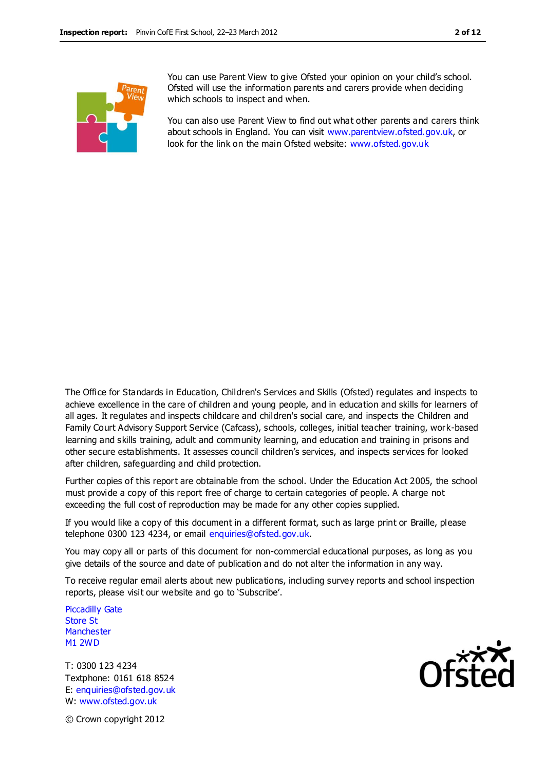You can use Parent View to give Ofsted your opinion on your child's school. Ofsted will use the information parents and carers provide when deciding which schools to inspect and when.

You can also use Parent View to find out what other parents and carers think about schools in England. You can visit [www.parentview.ofsted.gov.uk,](http://www.parentview.ofsted.gov.uk/) or look for the link on the main Ofsted website: [www.ofsted.gov.uk](http://www.ofsted.gov.uk/)

The Office for Standards in Education, Children's Services and Skills (Ofsted) regulates and inspects to achieve excellence in the care of children and young people, and in education and skills for learners of all ages. It regulates and inspects childcare and children's social care, and inspects the Children and Family Court Advisory Support Service (Cafcass), schools, colleges, initial teacher training, work-based learning and skills training, adult and community learning, and education and training in prisons and other secure establishments. It assesses council children's services, and inspects services for looked after children, safeguarding and child protection.

Further copies of this report are obtainable from the school. Under the Education Act 2005, the school must provide a copy of this report free of charge to certain categories of people. A charge not exceeding the full cost of reproduction may be made for any other copies supplied.

If you would like a copy of this document in a different format, such as large print or Braille, please telephone 0300 123 4234, or email enquiries@ofsted.gov.uk.

You may copy all or parts of this document for non-commercial educational purposes, as long as you give details of the source and date of publication and do not alter the information in any way.

To receive regular email alerts about new publications, including survey reports and school inspection reports, please visit our website and go to 'Subscribe'.

Piccadilly Gate Store St **Manchester** M1 2WD

T: 0300 123 4234 Textphone: 0161 618 8524 E: enquiries@ofsted.gov.uk W: www.ofsted.gov.uk



© Crown copyright 2012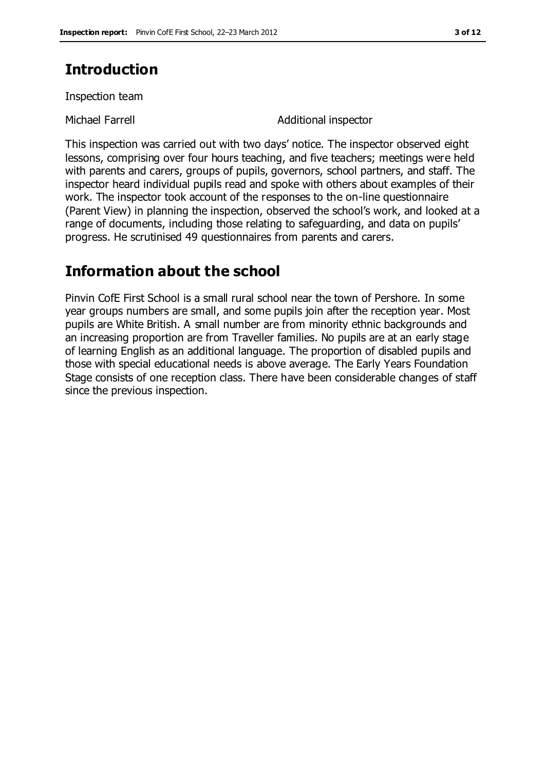# **Introduction**

Inspection team

Michael Farrell **Additional inspector** 

This inspection was carried out with two days' notice. The inspector observed eight lessons, comprising over four hours teaching, and five teachers; meetings were held with parents and carers, groups of pupils, governors, school partners, and staff. The inspector heard individual pupils read and spoke with others about examples of their work. The inspector took account of the responses to the on-line questionnaire (Parent View) in planning the inspection, observed the school's work, and looked at a range of documents, including those relating to safeguarding, and data on pupils' progress. He scrutinised 49 questionnaires from parents and carers.

# **Information about the school**

Pinvin CofE First School is a small rural school near the town of Pershore. In some year groups numbers are small, and some pupils join after the reception year. Most pupils are White British. A small number are from minority ethnic backgrounds and an increasing proportion are from Traveller families. No pupils are at an early stage of learning English as an additional language. The proportion of disabled pupils and those with special educational needs is above average. The Early Years Foundation Stage consists of one reception class. There have been considerable changes of staff since the previous inspection.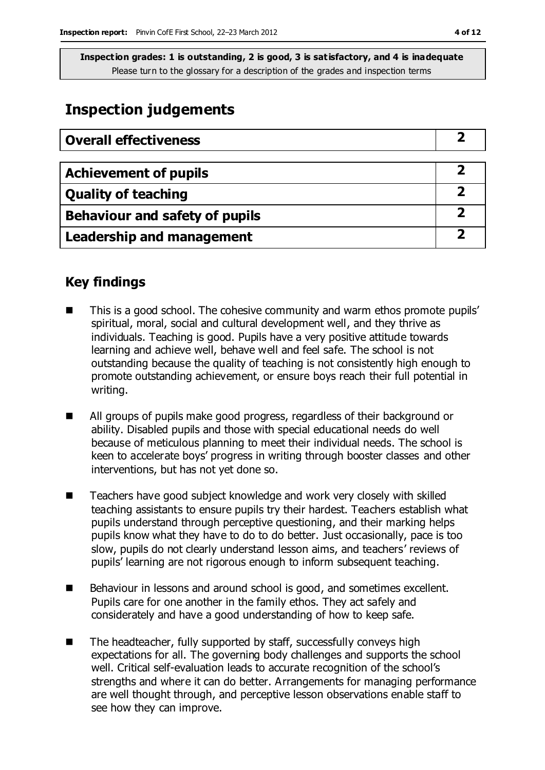# **Inspection judgements**

| <b>Overall effectiveness</b>     |  |
|----------------------------------|--|
|                                  |  |
| <b>Achievement of pupils</b>     |  |
| <b>Quality of teaching</b>       |  |
| Behaviour and safety of pupils   |  |
| <b>Leadership and management</b> |  |

# **Key findings**

- This is a good school. The cohesive community and warm ethos promote pupils' spiritual, moral, social and cultural development well, and they thrive as individuals. Teaching is good. Pupils have a very positive attitude towards learning and achieve well, behave well and feel safe. The school is not outstanding because the quality of teaching is not consistently high enough to promote outstanding achievement, or ensure boys reach their full potential in writing.
- All groups of pupils make good progress, regardless of their background or ability. Disabled pupils and those with special educational needs do well because of meticulous planning to meet their individual needs. The school is keen to accelerate boys' progress in writing through booster classes and other interventions, but has not yet done so.
- Teachers have good subject knowledge and work very closely with skilled teaching assistants to ensure pupils try their hardest. Teachers establish what pupils understand through perceptive questioning, and their marking helps pupils know what they have to do to do better. Just occasionally, pace is too slow, pupils do not clearly understand lesson aims, and teachers' reviews of pupils' learning are not rigorous enough to inform subsequent teaching.
- Behaviour in lessons and around school is good, and sometimes excellent. Pupils care for one another in the family ethos. They act safely and considerately and have a good understanding of how to keep safe.
- The headteacher, fully supported by staff, successfully conveys high expectations for all. The governing body challenges and supports the school well. Critical self-evaluation leads to accurate recognition of the school's strengths and where it can do better. Arrangements for managing performance are well thought through, and perceptive lesson observations enable staff to see how they can improve.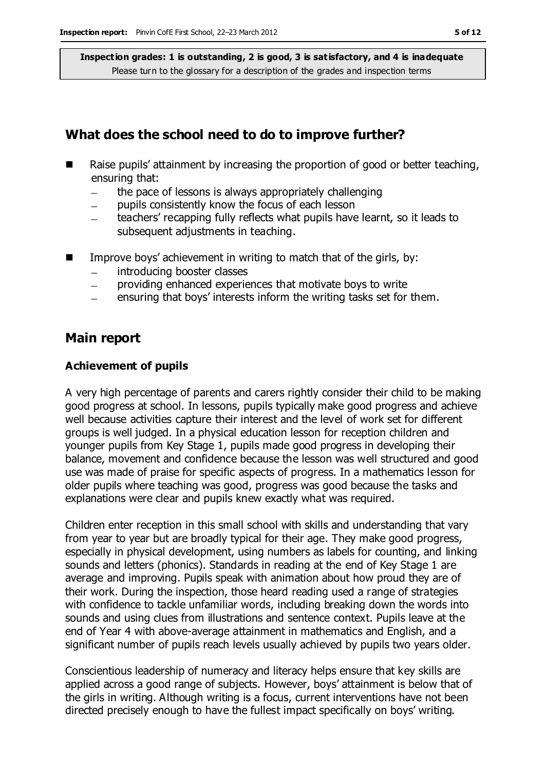## **What does the school need to do to improve further?**

- Raise pupils' attainment by increasing the proportion of good or better teaching, ensuring that:
	- the pace of lessons is always appropriately challenging  $\frac{1}{2}$
	- pupils consistently know the focus of each lesson
	- teachers' recapping fully reflects what pupils have learnt, so it leads to subsequent adjustments in teaching.
- Improve boys' achievement in writing to match that of the girls, by:
	- introducing booster classes  $-$
	- providing enhanced experiences that motivate boys to write  $\equiv$
	- ensuring that boys' interests inform the writing tasks set for them.

## **Main report**

#### **Achievement of pupils**

A very high percentage of parents and carers rightly consider their child to be making good progress at school. In lessons, pupils typically make good progress and achieve well because activities capture their interest and the level of work set for different groups is well judged. In a physical education lesson for reception children and younger pupils from Key Stage 1, pupils made good progress in developing their balance, movement and confidence because the lesson was well structured and good use was made of praise for specific aspects of progress. In a mathematics lesson for older pupils where teaching was good, progress was good because the tasks and explanations were clear and pupils knew exactly what was required.

Children enter reception in this small school with skills and understanding that vary from year to year but are broadly typical for their age. They make good progress, especially in physical development, using numbers as labels for counting, and linking sounds and letters (phonics). Standards in reading at the end of Key Stage 1 are average and improving. Pupils speak with animation about how proud they are of their work. During the inspection, those heard reading used a range of strategies with confidence to tackle unfamiliar words, including breaking down the words into sounds and using clues from illustrations and sentence context. Pupils leave at the end of Year 4 with above-average attainment in mathematics and English, and a significant number of pupils reach levels usually achieved by pupils two years older.

Conscientious leadership of numeracy and literacy helps ensure that key skills are applied across a good range of subjects. However, boys' attainment is below that of the girls in writing. Although writing is a focus, current interventions have not been directed precisely enough to have the fullest impact specifically on boys' writing.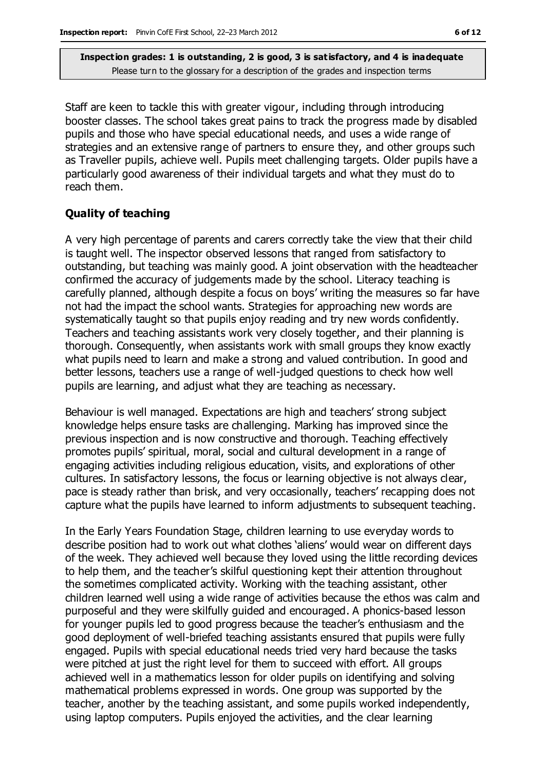Staff are keen to tackle this with greater vigour, including through introducing booster classes. The school takes great pains to track the progress made by disabled pupils and those who have special educational needs, and uses a wide range of strategies and an extensive range of partners to ensure they, and other groups such as Traveller pupils, achieve well. Pupils meet challenging targets. Older pupils have a particularly good awareness of their individual targets and what they must do to reach them.

#### **Quality of teaching**

A very high percentage of parents and carers correctly take the view that their child is taught well. The inspector observed lessons that ranged from satisfactory to outstanding, but teaching was mainly good. A joint observation with the headteacher confirmed the accuracy of judgements made by the school. Literacy teaching is carefully planned, although despite a focus on boys' writing the measures so far have not had the impact the school wants. Strategies for approaching new words are systematically taught so that pupils enjoy reading and try new words confidently. Teachers and teaching assistants work very closely together, and their planning is thorough. Consequently, when assistants work with small groups they know exactly what pupils need to learn and make a strong and valued contribution. In good and better lessons, teachers use a range of well-judged questions to check how well pupils are learning, and adjust what they are teaching as necessary.

Behaviour is well managed. Expectations are high and teachers' strong subject knowledge helps ensure tasks are challenging. Marking has improved since the previous inspection and is now constructive and thorough. Teaching effectively promotes pupils' spiritual, moral, social and cultural development in a range of engaging activities including religious education, visits, and explorations of other cultures. In satisfactory lessons, the focus or learning objective is not always clear, pace is steady rather than brisk, and very occasionally, teachers' recapping does not capture what the pupils have learned to inform adjustments to subsequent teaching.

In the Early Years Foundation Stage, children learning to use everyday words to describe position had to work out what clothes 'aliens' would wear on different days of the week. They achieved well because they loved using the little recording devices to help them, and the teacher's skilful questioning kept their attention throughout the sometimes complicated activity. Working with the teaching assistant, other children learned well using a wide range of activities because the ethos was calm and purposeful and they were skilfully guided and encouraged. A phonics-based lesson for younger pupils led to good progress because the teacher's enthusiasm and the good deployment of well-briefed teaching assistants ensured that pupils were fully engaged. Pupils with special educational needs tried very hard because the tasks were pitched at just the right level for them to succeed with effort. All groups achieved well in a mathematics lesson for older pupils on identifying and solving mathematical problems expressed in words. One group was supported by the teacher, another by the teaching assistant, and some pupils worked independently, using laptop computers. Pupils enjoyed the activities, and the clear learning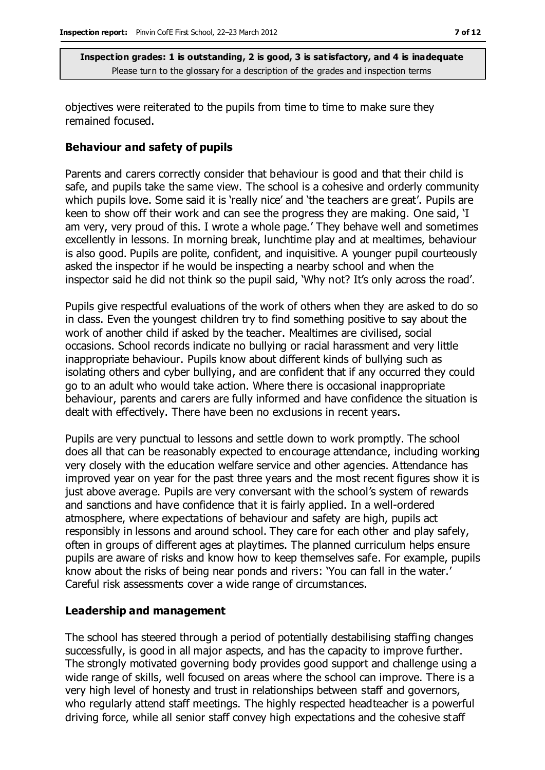objectives were reiterated to the pupils from time to time to make sure they remained focused.

#### **Behaviour and safety of pupils**

Parents and carers correctly consider that behaviour is good and that their child is safe, and pupils take the same view. The school is a cohesive and orderly community which pupils love. Some said it is 'really nice' and 'the teachers are great'. Pupils are keen to show off their work and can see the progress they are making. One said, 'I am very, very proud of this. I wrote a whole page.' They behave well and sometimes excellently in lessons. In morning break, lunchtime play and at mealtimes, behaviour is also good. Pupils are polite, confident, and inquisitive. A younger pupil courteously asked the inspector if he would be inspecting a nearby school and when the inspector said he did not think so the pupil said, 'Why not? It's only across the road'.

Pupils give respectful evaluations of the work of others when they are asked to do so in class. Even the youngest children try to find something positive to say about the work of another child if asked by the teacher. Mealtimes are civilised, social occasions. School records indicate no bullying or racial harassment and very little inappropriate behaviour. Pupils know about different kinds of bullying such as isolating others and cyber bullying, and are confident that if any occurred they could go to an adult who would take action. Where there is occasional inappropriate behaviour, parents and carers are fully informed and have confidence the situation is dealt with effectively. There have been no exclusions in recent years.

Pupils are very punctual to lessons and settle down to work promptly. The school does all that can be reasonably expected to encourage attendance, including working very closely with the education welfare service and other agencies. Attendance has improved year on year for the past three years and the most recent figures show it is just above average. Pupils are very conversant with the school's system of rewards and sanctions and have confidence that it is fairly applied. In a well-ordered atmosphere, where expectations of behaviour and safety are high, pupils act responsibly in lessons and around school. They care for each other and play safely, often in groups of different ages at playtimes. The planned curriculum helps ensure pupils are aware of risks and know how to keep themselves safe. For example, pupils know about the risks of being near ponds and rivers: 'You can fall in the water.' Careful risk assessments cover a wide range of circumstances.

#### **Leadership and management**

The school has steered through a period of potentially destabilising staffing changes successfully, is good in all major aspects, and has the capacity to improve further. The strongly motivated governing body provides good support and challenge using a wide range of skills, well focused on areas where the school can improve. There is a very high level of honesty and trust in relationships between staff and governors, who regularly attend staff meetings. The highly respected headteacher is a powerful driving force, while all senior staff convey high expectations and the cohesive staff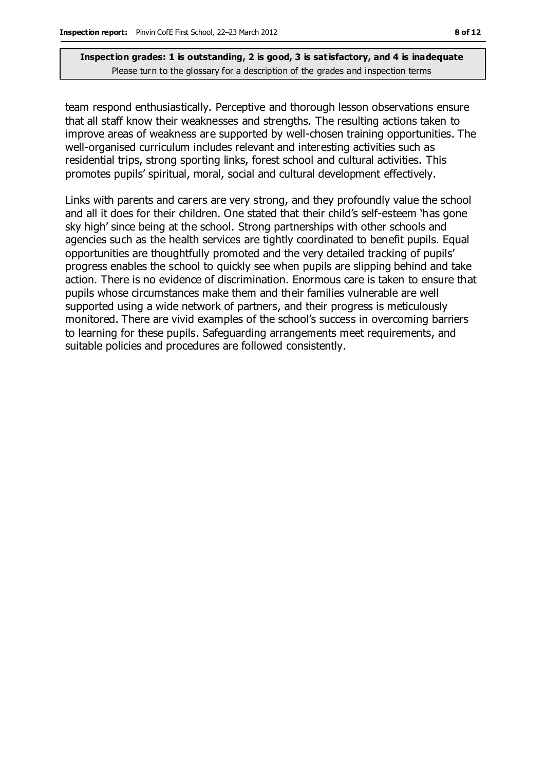team respond enthusiastically. Perceptive and thorough lesson observations ensure that all staff know their weaknesses and strengths. The resulting actions taken to improve areas of weakness are supported by well-chosen training opportunities. The well-organised curriculum includes relevant and interesting activities such as residential trips, strong sporting links, forest school and cultural activities. This promotes pupils' spiritual, moral, social and cultural development effectively.

Links with parents and carers are very strong, and they profoundly value the school and all it does for their children. One stated that their child's self-esteem 'has gone sky high' since being at the school. Strong partnerships with other schools and agencies such as the health services are tightly coordinated to benefit pupils. Equal opportunities are thoughtfully promoted and the very detailed tracking of pupils' progress enables the school to quickly see when pupils are slipping behind and take action. There is no evidence of discrimination. Enormous care is taken to ensure that pupils whose circumstances make them and their families vulnerable are well supported using a wide network of partners, and their progress is meticulously monitored. There are vivid examples of the school's success in overcoming barriers to learning for these pupils. Safeguarding arrangements meet requirements, and suitable policies and procedures are followed consistently.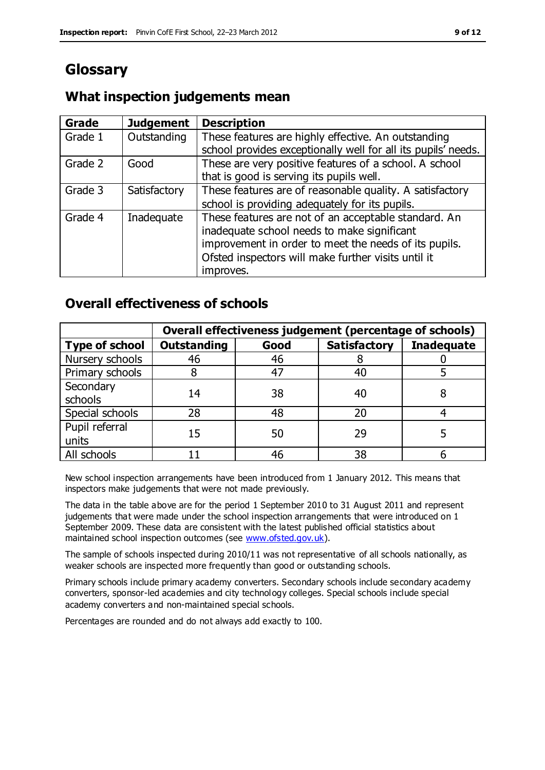# **Glossary**

# **What inspection judgements mean**

| Grade   | <b>Judgement</b> | <b>Description</b>                                                                                                                                                                                                               |
|---------|------------------|----------------------------------------------------------------------------------------------------------------------------------------------------------------------------------------------------------------------------------|
| Grade 1 | Outstanding      | These features are highly effective. An outstanding<br>school provides exceptionally well for all its pupils' needs.                                                                                                             |
| Grade 2 | Good             | These are very positive features of a school. A school<br>that is good is serving its pupils well.                                                                                                                               |
| Grade 3 | Satisfactory     | These features are of reasonable quality. A satisfactory<br>school is providing adequately for its pupils.                                                                                                                       |
| Grade 4 | Inadequate       | These features are not of an acceptable standard. An<br>inadequate school needs to make significant<br>improvement in order to meet the needs of its pupils.<br>Ofsted inspectors will make further visits until it<br>improves. |

# **Overall effectiveness of schools**

|                         | Overall effectiveness judgement (percentage of schools) |      |                     |                   |
|-------------------------|---------------------------------------------------------|------|---------------------|-------------------|
| <b>Type of school</b>   | <b>Outstanding</b>                                      | Good | <b>Satisfactory</b> | <b>Inadequate</b> |
| Nursery schools         | 46                                                      | 46   |                     |                   |
| Primary schools         |                                                         | 47   | 40                  |                   |
| Secondary<br>schools    | 14                                                      | 38   | 40                  |                   |
| Special schools         | 28                                                      | 48   | 20                  |                   |
| Pupil referral<br>units | 15                                                      | 50   | 29                  |                   |
| All schools             |                                                         | 46   | 38                  |                   |

New school inspection arrangements have been introduced from 1 January 2012. This means that inspectors make judgements that were not made previously.

The data in the table above are for the period 1 September 2010 to 31 August 2011 and represent judgements that were made under the school inspection arrangements that were introduced on 1 September 2009. These data are consistent with the latest published official statistics about maintained school inspection outcomes (see [www.ofsted.gov.uk\)](http://www.ofsted.gov.uk/).

The sample of schools inspected during 2010/11 was not representative of all schools nationally, as weaker schools are inspected more frequently than good or outstanding schools.

Primary schools include primary academy converters. Secondary schools include secondary academy converters, sponsor-led academies and city technology colleges. Special schools include special academy converters and non-maintained special schools.

Percentages are rounded and do not always add exactly to 100.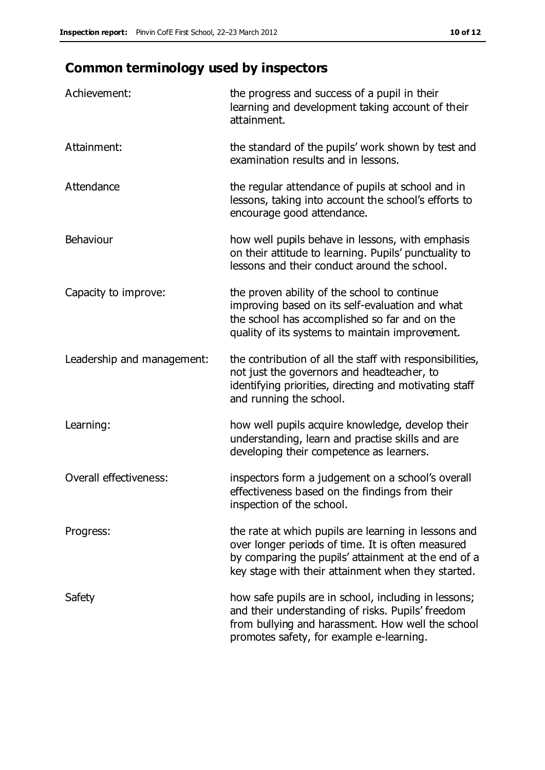# **Common terminology used by inspectors**

| Achievement:                  | the progress and success of a pupil in their<br>learning and development taking account of their<br>attainment.                                                                                                        |
|-------------------------------|------------------------------------------------------------------------------------------------------------------------------------------------------------------------------------------------------------------------|
| Attainment:                   | the standard of the pupils' work shown by test and<br>examination results and in lessons.                                                                                                                              |
| Attendance                    | the regular attendance of pupils at school and in<br>lessons, taking into account the school's efforts to<br>encourage good attendance.                                                                                |
| Behaviour                     | how well pupils behave in lessons, with emphasis<br>on their attitude to learning. Pupils' punctuality to<br>lessons and their conduct around the school.                                                              |
| Capacity to improve:          | the proven ability of the school to continue<br>improving based on its self-evaluation and what<br>the school has accomplished so far and on the<br>quality of its systems to maintain improvement.                    |
| Leadership and management:    | the contribution of all the staff with responsibilities,<br>not just the governors and headteacher, to<br>identifying priorities, directing and motivating staff<br>and running the school.                            |
| Learning:                     | how well pupils acquire knowledge, develop their<br>understanding, learn and practise skills and are<br>developing their competence as learners.                                                                       |
| <b>Overall effectiveness:</b> | inspectors form a judgement on a school's overall<br>effectiveness based on the findings from their<br>inspection of the school.                                                                                       |
| Progress:                     | the rate at which pupils are learning in lessons and<br>over longer periods of time. It is often measured<br>by comparing the pupils' attainment at the end of a<br>key stage with their attainment when they started. |
| Safety                        | how safe pupils are in school, including in lessons;<br>and their understanding of risks. Pupils' freedom<br>from bullying and harassment. How well the school<br>promotes safety, for example e-learning.             |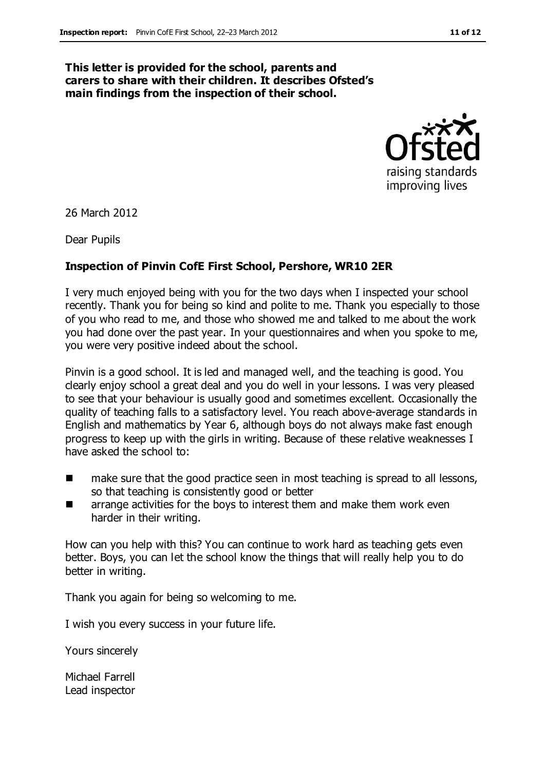#### **This letter is provided for the school, parents and carers to share with their children. It describes Ofsted's main findings from the inspection of their school.**



26 March 2012

Dear Pupils

#### **Inspection of Pinvin CofE First School, Pershore, WR10 2ER**

I very much enjoyed being with you for the two days when I inspected your school recently. Thank you for being so kind and polite to me. Thank you especially to those of you who read to me, and those who showed me and talked to me about the work you had done over the past year. In your questionnaires and when you spoke to me, you were very positive indeed about the school.

Pinvin is a good school. It is led and managed well, and the teaching is good. You clearly enjoy school a great deal and you do well in your lessons. I was very pleased to see that your behaviour is usually good and sometimes excellent. Occasionally the quality of teaching falls to a satisfactory level. You reach above-average standards in English and mathematics by Year 6, although boys do not always make fast enough progress to keep up with the girls in writing. Because of these relative weaknesses I have asked the school to:

- make sure that the good practice seen in most teaching is spread to all lessons, so that teaching is consistently good or better
- arrange activities for the boys to interest them and make them work even harder in their writing.

How can you help with this? You can continue to work hard as teaching gets even better. Boys, you can let the school know the things that will really help you to do better in writing.

Thank you again for being so welcoming to me.

I wish you every success in your future life.

Yours sincerely

Michael Farrell Lead inspector